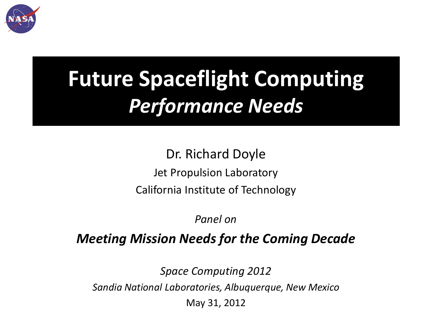

# **Future Spaceflight Computing** *Performance Needs*

Dr. Richard Doyle Jet Propulsion Laboratory California Institute of Technology

*Panel on* 

### *Meeting Mission Needs for the Coming Decade*

*Space Computing 2012*

*Sandia National Laboratories, Albuquerque, New Mexico*

May 31, 2012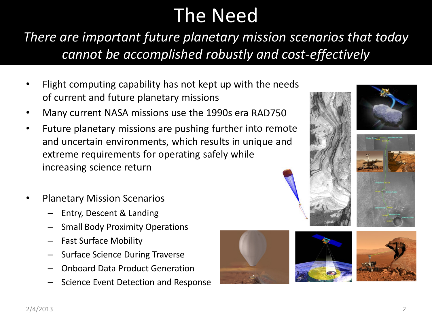## The Need

*There are important future planetary mission scenarios that today cannot be accomplished robustly and cost-effectively*

- Flight computing capability has not kept up with the needs of current and future planetary missions
- Many current NASA missions use the 1990s era RAD750
- Future planetary missions are pushing further into remote and uncertain environments, which results in unique and extreme requirements for operating safely while increasing science return
- Planetary Mission Scenarios
	- Entry, Descent & Landing
	- Small Body Proximity Operations
	- Fast Surface Mobility
	- Surface Science During Traverse
	- Onboard Data Product Generation
	- Science Event Detection and Response





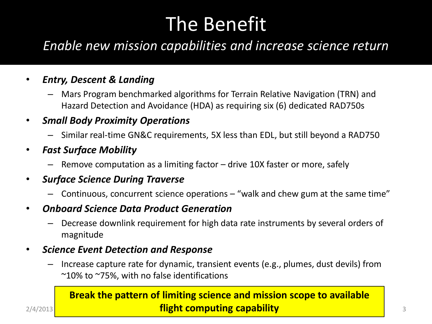## The Benefit

### *Enable new mission capabilities and increase science return*

#### • *Entry, Descent & Landing*

- Mars Program benchmarked algorithms for Terrain Relative Navigation (TRN) and Hazard Detection and Avoidance (HDA) as requiring six (6) dedicated RAD750s
- *Small Body Proximity Operations*
	- Similar real-time GN&C requirements, 5X less than EDL, but still beyond a RAD750
- *Fast Surface Mobility*
	- Remove computation as a limiting factor drive 10X faster or more, safely

#### • *Surface Science During Traverse*

- Continuous, concurrent science operations  $-$  "walk and chew gum at the same time"
- *Onboard Science Data Product Generation*
	- Decrease downlink requirement for high data rate instruments by several orders of magnitude

#### • *Science Event Detection and Response*

– Increase capture rate for dynamic, transient events (e.g., plumes, dust devils) from  $\sim$ 10% to  $\sim$ 75%, with no false identifications

#### 2/4/2013 **The Computing capability Computing Capability Computing Capability Computing Capability Computing Capability Computing Capability Computing Capability Computing Capability Computing Capability C Break the pattern of limiting science and mission scope to available**